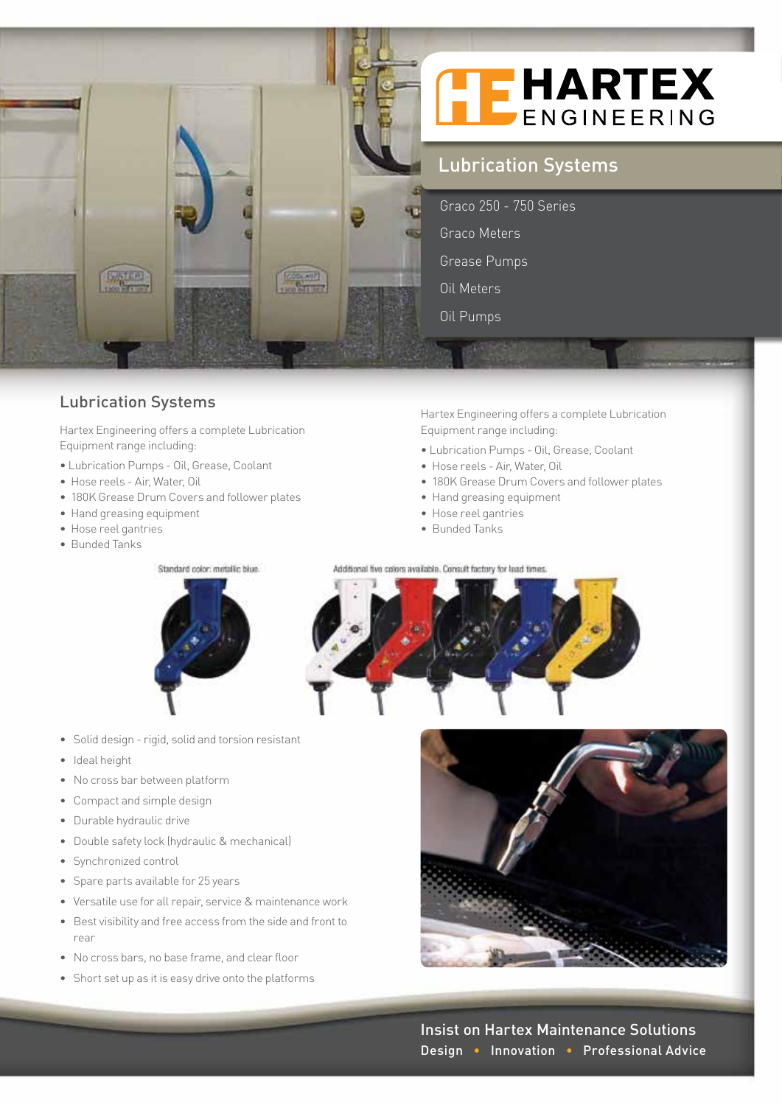

## Lubrication Systems

Hartex Engineering offers a complete Lubrication Equipment range including:

- Lubrication Pumps Oil, Grease, Coolant
- Hose reels Air, Water, Oil
- 180K Grease Drum Covers and follower plates
- Hand greasing equipment
- Hose reel gantries
- Bunded Tanks

Standard color: metallic blue.



- Solid design rigid, solid and torsion resistant
- Ideal height
- No cross bar between platform
- Compact and simple design
- Durable hydraulic drive
- Double safety lock (hydraulic & mechanical)
- Synchronized control
- Spare parts available for 25 years
- Versatile use for all repair, service & maintenance work
- Best visibility and free access from the side and front to rear
- No cross bars, no base frame, and clear floor
- Short set up as it is easy drive onto the platforms

Hartex Engineering offers a complete Lubrication Equipment range including:

- Lubrication Pumps Oil, Grease, Coolant
- Hose reels Air, Water, Oil
- 180K Grease Drum Covers and follower plates
- Hand greasing equipment
- Hose reel gantries
- Bunded Tanks





Insist on Hartex Maintenance Solutions Design • Innovation • Professional Advice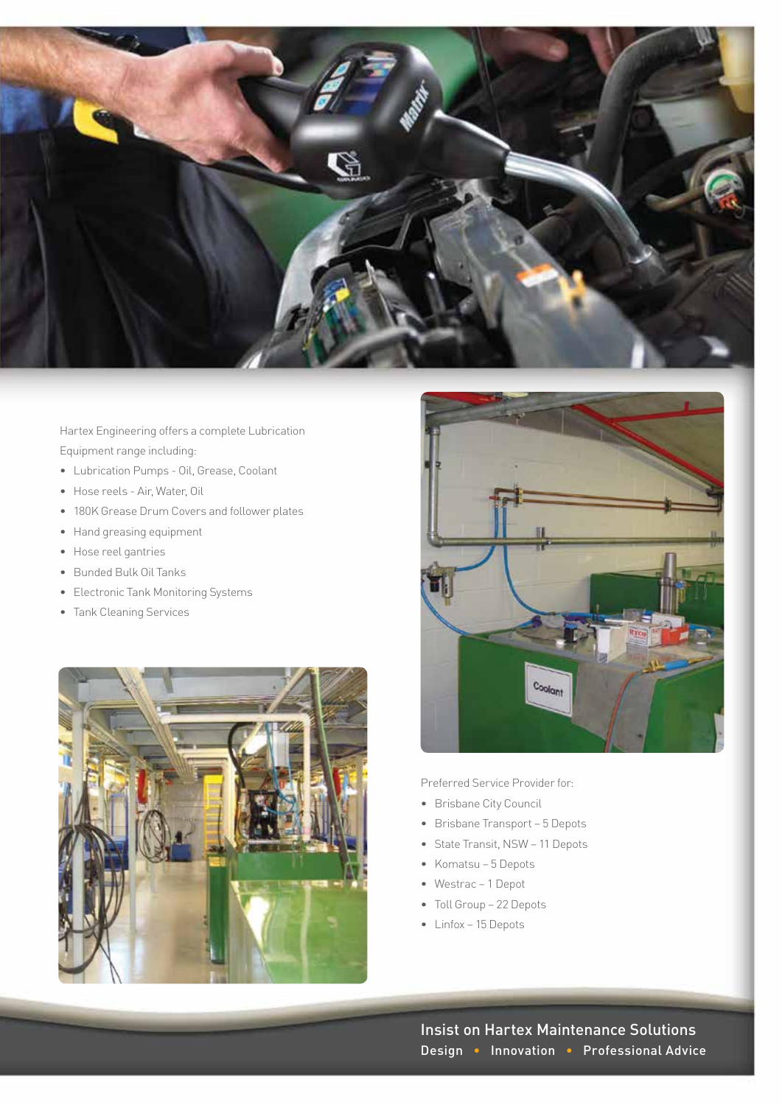

Hartex Engineering offers a complete Lubrication Equipment range including:

- Lubrication Pumps Oil, Grease, Coolant
- Hose reels Air, Water, Oil
- 180K Grease Drum Covers and follower plates
- Hand greasing equipment
- Hose reel gantries
- Bunded Bulk Oil Tanks
- Electronic Tank Monitoring Systems
- Tank Cleaning Services





Preferred Service Provider for:

- Brisbane City Council
- Brisbane Transport 5 Depots
- State Transit, NSW 11 Depots
- Komatsu 5 Depots
- Westrac 1 Depot
- Toll Group 22 Depots
- Linfox 15 Depots

Insist on Hartex Maintenance Solutions Design • Innovation • Professional Advice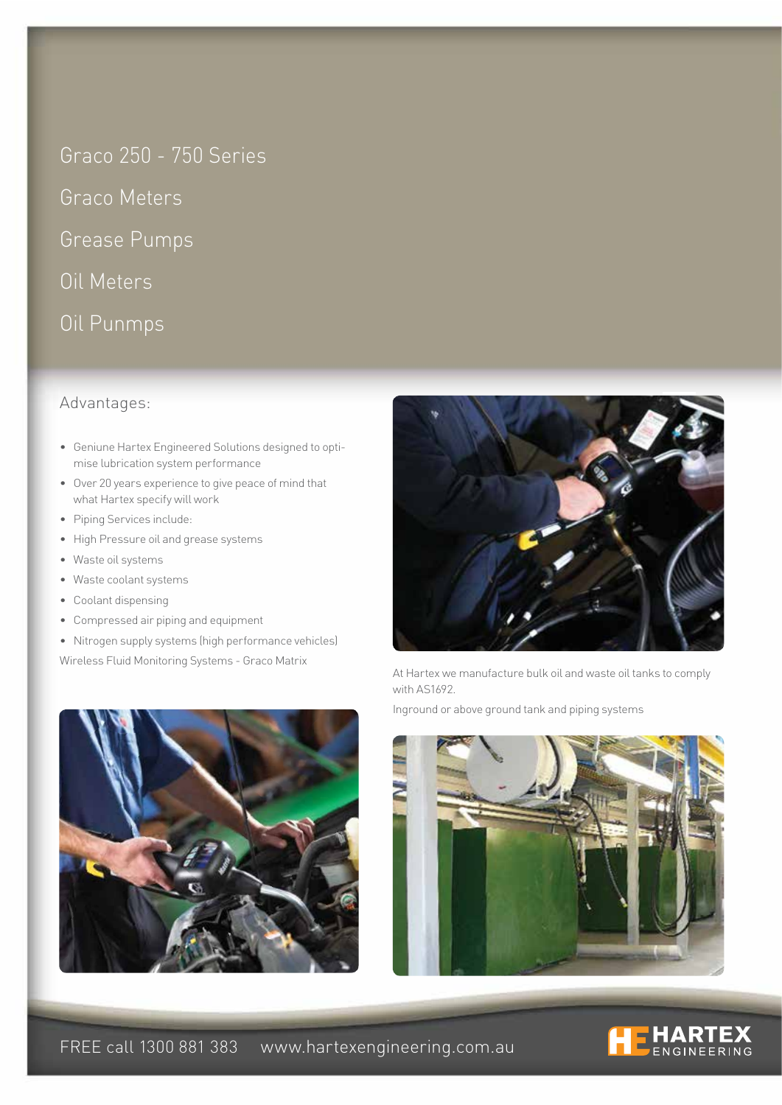Graco 250 - 750 Series

Graco Meters

Grease Pumps

Oil Meters

Oil Punmps

## Advantages:

- Geniune Hartex Engineered Solutions designed to optimise lubrication system performance
- Over 20 years experience to give peace of mind that what Hartex specify will work
- Piping Services include:
- High Pressure oil and grease systems
- Waste oil systems
- Waste coolant systems
- Coolant dispensing
- Compressed air piping and equipment
- Nitrogen supply systems (high performance vehicles)

Wireless Fluid Monitoring Systems - Graco Matrix





At Hartex we manufacture bulk oil and waste oil tanks to comply with AS1692.

Inground or above ground tank and piping systems